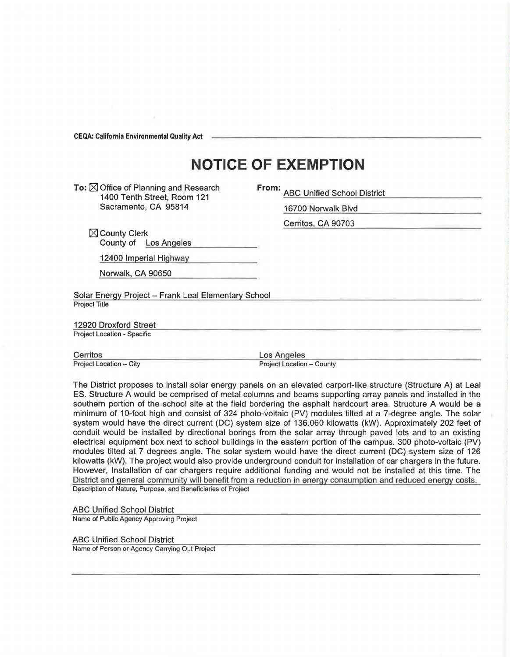**CEQA: California Environmental Quality Act** 

## **NOTICE OF EXEMPTION**

To:  $\boxtimes$  Office of Planning and Research 1400 Tenth Street, Room 121 Sacramento, CA 95814

**From:** ABC Unified School District

16700 Norwalk Blvd

Cerritos, CA 90703

 $\boxtimes$  County Clerk County of Los Angeles

12400 Imperial Highway

Norwalk, CA 90650

Solar Energy Project - Frank Leal Elementary School Project Title

12920 Droxford Street

Project Location - Specific

Cerritos Los Angeles<br>Project Location – City Project Cocation – City Project Location

Project Location - County

The District proposes to install solar energy panels on an elevated carport-like structure (Structure A) at Leal ES. Structure A would be comprised of metal columns and beams supporting array panels and installed in the southern portion of the school site at the field bordering the asphalt hardcourt area. Structure A would be a minimum of 10-foot high and consist of 324 photo-voltaic (PV) modules tilted at a 7-degree angle. The solar system would have the direct current (DC) system size of 136.060 kilowatts (kW). Approximately 202 feet of conduit would be installed by directional borings from the solar array through paved lots and to an existing electrical equipment box next to school buildings in the eastern portion of the campus. 300 photo-voltaic (PV) modules tilted at 7 degrees angle. The solar system would have the direct current (DC) system size of 126 kilowatts (kW). The project would also provide underground conduit for installation of car chargers in the future. However, Installation of car chargers require additional funding and would not be installed at this time. The District and general community will benefit frorn a reduction in energy consumption and reduced energy costs. Description of Nature, Purpose, and Beneficiaries of Project

ABC Unified School District

Name of Public Agency Approving Project

ABC Unified School District

Name of Person or Agency Carrying Out Project